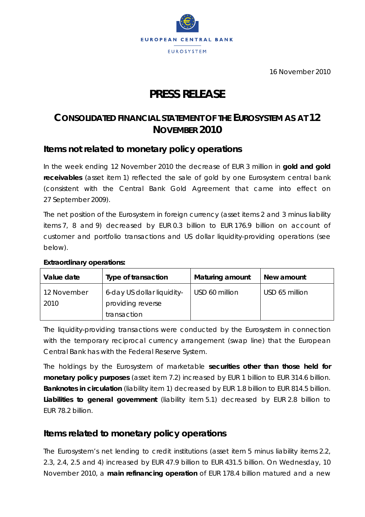

16 November 2010

# **PRESS RELEASE**

# **CONSOLIDATED FINANCIAL STATEMENT OF THE EUROSYSTEM AS AT 12 NOVEMBER 2010**

## **Items not related to monetary policy operations**

In the week ending 12 November 2010 the decrease of EUR 3 million in **gold and gold receivables** (asset item 1) reflected the sale of gold by one Eurosystem central bank (consistent with the Central Bank Gold Agreement that came into effect on 27 September 2009).

The net position of the Eurosystem in foreign currency (asset items 2 and 3 minus liability items 7, 8 and 9) decreased by EUR 0.3 billion to EUR 176.9 billion on account of customer and portfolio transactions and US dollar liquidity-providing operations (see below).

| Value date          | Type of transaction                             | <b>Maturing amount</b> | New amount     |
|---------------------|-------------------------------------------------|------------------------|----------------|
| 12 November<br>2010 | 6-day US dollar liquidity-<br>providing reverse | USD 60 million         | USD 65 million |
|                     | transaction                                     |                        |                |

#### **Extraordinary operations:**

The liquidity-providing transactions were conducted by the Eurosystem in connection with the temporary reciprocal currency arrangement (swap line) that the European Central Bank has with the Federal Reserve System.

The holdings by the Eurosystem of marketable **securities other than those held for monetary policy purposes** (asset item 7.2) increased by EUR 1 billion to EUR 314.6 billion. **Banknotes in circulation** (liability item 1) decreased by EUR 1.8 billion to EUR 814.5 billion. **Liabilities to general government** (liability item 5.1) decreased by EUR 2.8 billion to EUR 78.2 billion.

# **Items related to monetary policy operations**

The Eurosystem's net lending to credit institutions (asset item 5 minus liability items 2.2, 2.3, 2.4, 2.5 and 4) increased by EUR 47.9 billion to EUR 431.5 billion. On Wednesday, 10 November 2010, a **main refinancing operation** of EUR 178.4 billion matured and a new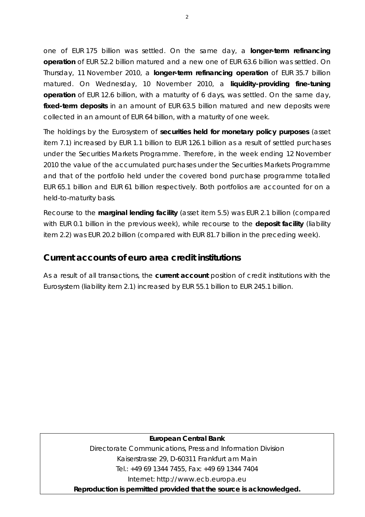one of EUR 175 billion was settled. On the same day, a **longer-term refinancing operation** of EUR 52.2 billion matured and a new one of EUR 63.6 billion was settled. On Thursday, 11 November 2010, a **longer-term refinancing operation** of EUR 35.7 billion matured. On Wednesday, 10 November 2010, a **liquidity-providing fine-tuning operation** of EUR 12.6 billion, with a maturity of 6 days, was settled. On the same day, **fixed-term deposits** in an amount of EUR 63.5 billion matured and new deposits were collected in an amount of EUR 64 billion, with a maturity of one week.

The holdings by the Eurosystem of **securities held for monetary policy purposes** (asset item 7.1) increased by EUR 1.1 billion to EUR 126.1 billion as a result of settled purchases under the Securities Markets Programme. Therefore, in the week ending 12 November 2010 the value of the accumulated purchases under the Securities Markets Programme and that of the portfolio held under the covered bond purchase programme totalled EUR 65.1 billion and EUR 61 billion respectively. Both portfolios are accounted for on a held-to-maturity basis.

Recourse to the **marginal lending facility** (asset item 5.5) was EUR 2.1 billion (compared with EUR 0.1 billion in the previous week), while recourse to the **deposit facility** (liability item 2.2) was EUR 20.2 billion (compared with EUR 81.7 billion in the preceding week).

### **Current accounts of euro area credit institutions**

As a result of all transactions, the **current account** position of credit institutions with the Eurosystem (liability item 2.1) increased by EUR 55.1 billion to EUR 245.1 billion.

#### **European Central Bank**

Directorate Communications, Press and Information Division Kaiserstrasse 29, D-60311 Frankfurt am Main Tel.: +49 69 1344 7455, Fax: +49 69 1344 7404 Internet: http://www.ecb.europa.eu

**Reproduction is permitted provided that the source is acknowledged.**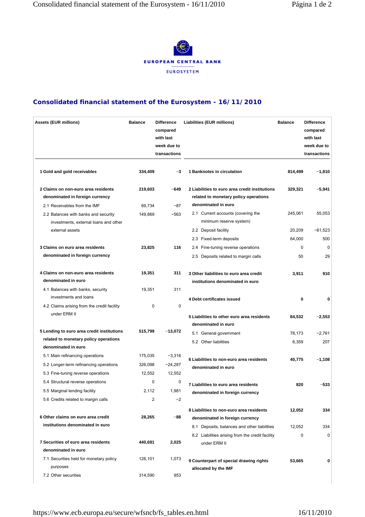

#### **Consolidated financial statement of the Eurosystem - 16/11/2010**

| <b>Assets (EUR millions)</b>                                                                                    | <b>Balance</b>               | <b>Difference</b><br>compared<br>with last<br>week due to<br>transactions | Liabilities (EUR millions)                                                                                                  | <b>Balance</b>   | <b>Difference</b><br>compared<br>with last<br>week due to<br>transactions |
|-----------------------------------------------------------------------------------------------------------------|------------------------------|---------------------------------------------------------------------------|-----------------------------------------------------------------------------------------------------------------------------|------------------|---------------------------------------------------------------------------|
| 1 Gold and gold receivables                                                                                     | 334,409                      | $-3$                                                                      | 1 Banknotes in circulation                                                                                                  | 814,499          | $-1,810$                                                                  |
| 2 Claims on non-euro area residents<br>denominated in foreign currency                                          | 219,603                      | $-649$                                                                    | 2 Liabilities to euro area credit institutions<br>related to monetary policy operations                                     | 329,321          | $-5,941$                                                                  |
| 2.1 Receivables from the IMF<br>2.2 Balances with banks and security<br>investments, external loans and other   | 69,734<br>149,869            | $-87$<br>$-563$                                                           | denominated in euro<br>2.1 Current accounts (covering the<br>minimum reserve system)                                        | 245,061          | 55,053                                                                    |
| external assets                                                                                                 |                              |                                                                           | 2.2 Deposit facility<br>2.3 Fixed-term deposits                                                                             | 20,209<br>64,000 | $-61,523$<br>500                                                          |
| 3 Claims on euro area residents<br>denominated in foreign currency                                              | 23,825                       | 116                                                                       | 2.4 Fine-tuning reverse operations<br>2.5 Deposits related to margin calls                                                  | 0<br>50          | $\Omega$<br>29                                                            |
| 4 Claims on non-euro area residents<br>denominated in euro                                                      | 19,351                       | 311<br>311                                                                | 3 Other liabilities to euro area credit<br>institutions denominated in euro                                                 | 3,911            | 910                                                                       |
| 4.1 Balances with banks, security<br>investments and loans                                                      | 19,351                       |                                                                           | 4 Debt certificates issued                                                                                                  | 0                | 0                                                                         |
| 4.2 Claims arising from the credit facility<br>under ERM II                                                     | 0                            | 0                                                                         | 5 Liabilities to other euro area residents<br>denominated in euro                                                           | 84,532           | $-2,553$                                                                  |
| 5 Lending to euro area credit institutions<br>related to monetary policy operations<br>denominated in euro      | 515,799                      | $-13,072$                                                                 | 5.1 General government<br>5.2 Other liabilities                                                                             | 78,173<br>6,359  | $-2,761$<br>207                                                           |
| 5.1 Main refinancing operations<br>5.2 Longer-term refinancing operations<br>5.3 Fine-tuning reverse operations | 175,035<br>326,098<br>12,552 | $-3,316$<br>$-24,287$<br>12,552                                           | 6 Liabilities to non-euro area residents<br>denominated in euro                                                             | 40,775           | $-1,108$                                                                  |
| 5.4 Structural reverse operations<br>5.5 Marginal lending facility<br>5.6 Credits related to margin calls       | 0<br>2,112<br>$\overline{2}$ | 0<br>1,981<br>$-2$                                                        | 7 Liabilities to euro area residents<br>denominated in foreign currency                                                     | 820              | $-533$                                                                    |
| 6 Other claims on euro area credit<br>institutions denominated in euro                                          | 28,265                       | -88                                                                       | 8 Liabilities to non-euro area residents<br>denominated in foreign currency<br>8.1 Deposits, balances and other liabilities | 12,052<br>12,052 | 334<br>334                                                                |
| 7 Securities of euro area residents<br>denominated in euro                                                      | 440,691                      | 2,025                                                                     | 8.2 Liabilities arising from the credit facility<br>under ERM II                                                            | 0                | 0                                                                         |
| 7.1 Securities held for monetary policy<br>purposes                                                             | 126,101                      | 1,073                                                                     | 9 Counterpart of special drawing rights<br>allocated by the IMF                                                             | 53,665           | 0                                                                         |
| 7.2 Other securities                                                                                            | 314,590                      | 953                                                                       |                                                                                                                             |                  |                                                                           |